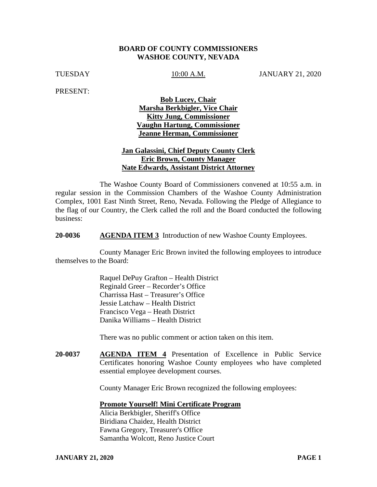## **BOARD OF COUNTY COMMISSIONERS WASHOE COUNTY, NEVADA**

TUESDAY 10:00 A.M. JANUARY 21, 2020

PRESENT:

**Bob Lucey, Chair Marsha Berkbigler, Vice Chair Kitty Jung, Commissioner Vaughn Hartung, Commissioner Jeanne Herman, Commissioner**

# **Jan Galassini, Chief Deputy County Clerk Eric Brown, County Manager Nate Edwards, Assistant District Attorney**

The Washoe County Board of Commissioners convened at 10:55 a.m. in regular session in the Commission Chambers of the Washoe County Administration Complex, 1001 East Ninth Street, Reno, Nevada. Following the Pledge of Allegiance to the flag of our Country, the Clerk called the roll and the Board conducted the following business:

**20-0036 AGENDA ITEM 3** Introduction of new Washoe County Employees.

County Manager Eric Brown invited the following employees to introduce themselves to the Board:

> Raquel DePuy Grafton – Health District Reginald Greer – Recorder's Office Charrissa Hast – Treasurer's Office Jessie Latchaw – Health District Francisco Vega – Heath District Danika Williams – Health District

There was no public comment or action taken on this item.

**20-0037 AGENDA ITEM 4** Presentation of Excellence in Public Service Certificates honoring Washoe County employees who have completed essential employee development courses.

County Manager Eric Brown recognized the following employees:

#### **Promote Yourself! Mini Certificate Program**

Alicia Berkbigler, Sheriff's Office Biridiana Chaidez, Health District Fawna Gregory, Treasurer's Office Samantha Wolcott, Reno Justice Court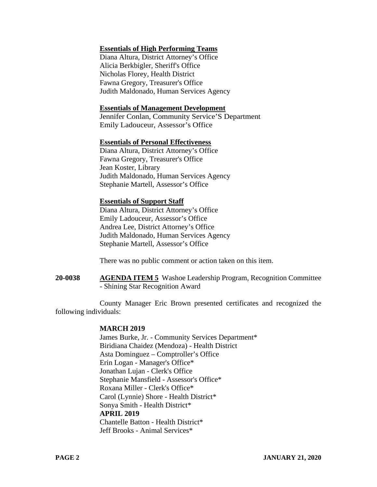# **Essentials of High Performing Teams**

Diana Altura, District Attorney's Office Alicia Berkbigler, Sheriff's Office Nicholas Florey, Health District Fawna Gregory, Treasurer's Office Judith Maldonado, Human Services Agency

#### **Essentials of Management Development**

Jennifer Conlan, Community Service'S Department Emily Ladouceur, Assessor's Office

#### **Essentials of Personal Effectiveness**

Diana Altura, District Attorney's Office Fawna Gregory, Treasurer's Office Jean Koster, Library Judith Maldonado, Human Services Agency Stephanie Martell, Assessor's Office

#### **Essentials of Support Staff**

Diana Altura, District Attorney's Office Emily Ladouceur, Assessor's Office Andrea Lee, District Attorney's Office Judith Maldonado, Human Services Agency Stephanie Martell, Assessor's Office

There was no public comment or action taken on this item.

**20-0038 AGENDA ITEM 5** Washoe Leadership Program, Recognition Committee - Shining Star Recognition Award

County Manager Eric Brown presented certificates and recognized the following individuals:

### **MARCH 2019**

James Burke, Jr. - Community Services Department\* Biridiana Chaidez (Mendoza) - Health District Asta Dominguez – Comptroller's Office Erin Logan - Manager's Office\* Jonathan Lujan - Clerk's Office Stephanie Mansfield - Assessor's Office\* Roxana Miller - Clerk's Office\* Carol (Lynnie) Shore - Health District\* Sonya Smith - Health District\* **APRIL 2019** Chantelle Batton - Health District\* Jeff Brooks - Animal Services\*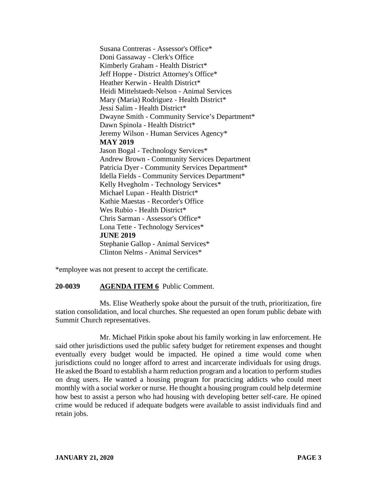Susana Contreras - Assessor's Office\* Doni Gassaway - Clerk's Office Kimberly Graham - Health District\* Jeff Hoppe - District Attorney's Office\* Heather Kerwin - Health District\* Heidi Mittelstaedt-Nelson - Animal Services Mary (Maria) Rodriguez - Health District\* Jessi Salim - Health District\* Dwayne Smith - Community Service's Department\* Dawn Spinola - Health District\* Jeremy Wilson - Human Services Agency\* **MAY 2019** Jason Bogal - Technology Services\* Andrew Brown - Community Services Department Patricia Dyer - Community Services Department\* Idella Fields - Community Services Department\* Kelly Hvegholm - Technology Services\* Michael Lupan - Health District\* Kathie Maestas - Recorder's Office Wes Rubio - Health District\* Chris Sarman - Assessor's Office\* Lona Tette - Technology Services\* **JUNE 2019** Stephanie Gallop - Animal Services\* Clinton Nelms - Animal Services\*

\*employee was not present to accept the certificate.

#### **20-0039 AGENDA ITEM 6** Public Comment.

Ms. Elise Weatherly spoke about the pursuit of the truth, prioritization, fire station consolidation, and local churches. She requested an open forum public debate with Summit Church representatives.

Mr. Michael Pitkin spoke about his family working in law enforcement. He said other jurisdictions used the public safety budget for retirement expenses and thought eventually every budget would be impacted. He opined a time would come when jurisdictions could no longer afford to arrest and incarcerate individuals for using drugs. He asked the Board to establish a harm reduction program and a location to perform studies on drug users. He wanted a housing program for practicing addicts who could meet monthly with a social worker or nurse. He thought a housing program could help determine how best to assist a person who had housing with developing better self-care. He opined crime would be reduced if adequate budgets were available to assist individuals find and retain jobs.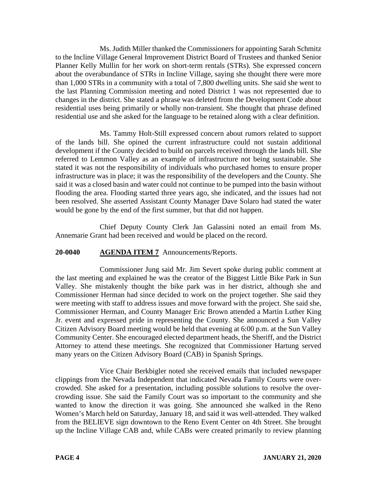Ms. Judith Miller thanked the Commissioners for appointing Sarah Schmitz to the Incline Village General Improvement District Board of Trustees and thanked Senior Planner Kelly Mullin for her work on short-term rentals (STRs). She expressed concern about the overabundance of STRs in Incline Village, saying she thought there were more than 1,000 STRs in a community with a total of 7,800 dwelling units. She said she went to the last Planning Commission meeting and noted District 1 was not represented due to changes in the district. She stated a phrase was deleted from the Development Code about residential uses being primarily or wholly non-transient. She thought that phrase defined residential use and she asked for the language to be retained along with a clear definition.

Ms. Tammy Holt-Still expressed concern about rumors related to support of the lands bill. She opined the current infrastructure could not sustain additional development if the County decided to build on parcels received through the lands bill. She referred to Lemmon Valley as an example of infrastructure not being sustainable. She stated it was not the responsibility of individuals who purchased homes to ensure proper infrastructure was in place; it was the responsibility of the developers and the County. She said it was a closed basin and water could not continue to be pumped into the basin without flooding the area. Flooding started three years ago, she indicated, and the issues had not been resolved. She asserted Assistant County Manager Dave Solaro had stated the water would be gone by the end of the first summer, but that did not happen.

Chief Deputy County Clerk Jan Galassini noted an email from Ms. Annemarie Grant had been received and would be placed on the record.

# **20-0040 AGENDA ITEM 7** Announcements/Reports.

Commissioner Jung said Mr. Jim Severt spoke during public comment at the last meeting and explained he was the creator of the Biggest Little Bike Park in Sun Valley. She mistakenly thought the bike park was in her district, although she and Commissioner Herman had since decided to work on the project together. She said they were meeting with staff to address issues and move forward with the project. She said she, Commissioner Herman, and County Manager Eric Brown attended a Martin Luther King Jr. event and expressed pride in representing the County. She announced a Sun Valley Citizen Advisory Board meeting would be held that evening at 6:00 p.m. at the Sun Valley Community Center. She encouraged elected department heads, the Sheriff, and the District Attorney to attend these meetings. She recognized that Commissioner Hartung served many years on the Citizen Advisory Board (CAB) in Spanish Springs.

Vice Chair Berkbigler noted she received emails that included newspaper clippings from the Nevada Independent that indicated Nevada Family Courts were overcrowded. She asked for a presentation, including possible solutions to resolve the overcrowding issue. She said the Family Court was so important to the community and she wanted to know the direction it was going. She announced she walked in the Reno Women's March held on Saturday, January 18, and said it was well-attended. They walked from the BELIEVE sign downtown to the Reno Event Center on 4th Street. She brought up the Incline Village CAB and, while CABs were created primarily to review planning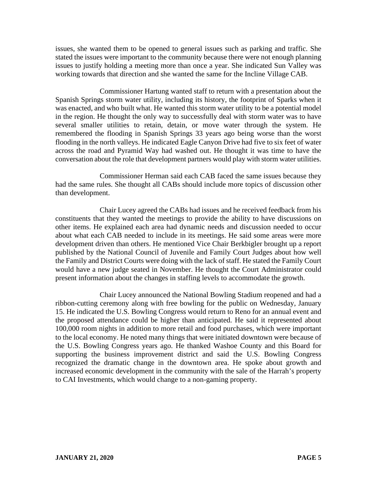issues, she wanted them to be opened to general issues such as parking and traffic. She stated the issues were important to the community because there were not enough planning issues to justify holding a meeting more than once a year. She indicated Sun Valley was working towards that direction and she wanted the same for the Incline Village CAB.

Commissioner Hartung wanted staff to return with a presentation about the Spanish Springs storm water utility, including its history, the footprint of Sparks when it was enacted, and who built what. He wanted this storm water utility to be a potential model in the region. He thought the only way to successfully deal with storm water was to have several smaller utilities to retain, detain, or move water through the system. He remembered the flooding in Spanish Springs 33 years ago being worse than the worst flooding in the north valleys. He indicated Eagle Canyon Drive had five to six feet of water across the road and Pyramid Way had washed out. He thought it was time to have the conversation about the role that development partners would play with storm water utilities.

Commissioner Herman said each CAB faced the same issues because they had the same rules. She thought all CABs should include more topics of discussion other than development.

Chair Lucey agreed the CABs had issues and he received feedback from his constituents that they wanted the meetings to provide the ability to have discussions on other items. He explained each area had dynamic needs and discussion needed to occur about what each CAB needed to include in its meetings. He said some areas were more development driven than others. He mentioned Vice Chair Berkbigler brought up a report published by the National Council of Juvenile and Family Court Judges about how well the Family and District Courts were doing with the lack of staff. He stated the Family Court would have a new judge seated in November. He thought the Court Administrator could present information about the changes in staffing levels to accommodate the growth.

Chair Lucey announced the National Bowling Stadium reopened and had a ribbon-cutting ceremony along with free bowling for the public on Wednesday, January 15. He indicated the U.S. Bowling Congress would return to Reno for an annual event and the proposed attendance could be higher than anticipated. He said it represented about 100,000 room nights in addition to more retail and food purchases, which were important to the local economy. He noted many things that were initiated downtown were because of the U.S. Bowling Congress years ago. He thanked Washoe County and this Board for supporting the business improvement district and said the U.S. Bowling Congress recognized the dramatic change in the downtown area. He spoke about growth and increased economic development in the community with the sale of the Harrah's property to CAI Investments, which would change to a non-gaming property.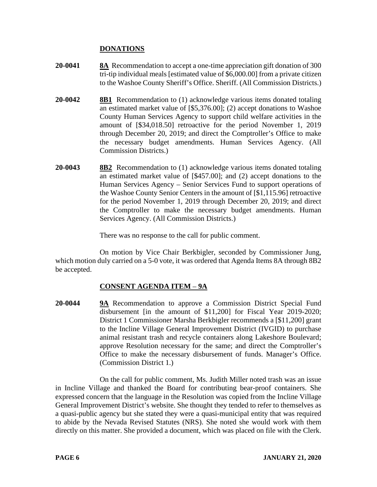# **DONATIONS**

- **20-0041 8A** Recommendation to accept a one-time appreciation gift donation of 300 tri-tip individual meals [estimated value of \$6,000.00] from a private citizen to the Washoe County Sheriff's Office. Sheriff. (All Commission Districts.)
- **20-0042 8B1** Recommendation to (1) acknowledge various items donated totaling an estimated market value of [\$5,376.00]; (2) accept donations to Washoe County Human Services Agency to support child welfare activities in the amount of [\$34,018.50] retroactive for the period November 1, 2019 through December 20, 2019; and direct the Comptroller's Office to make the necessary budget amendments. Human Services Agency. (All Commission Districts.)
- **20-0043 8B2** Recommendation to (1) acknowledge various items donated totaling an estimated market value of [\$457.00]; and (2) accept donations to the Human Services Agency – Senior Services Fund to support operations of the Washoe County Senior Centers in the amount of [\$1,115.96] retroactive for the period November 1, 2019 through December 20, 2019; and direct the Comptroller to make the necessary budget amendments. Human Services Agency. (All Commission Districts.)

There was no response to the call for public comment.

On motion by Vice Chair Berkbigler, seconded by Commissioner Jung, which motion duly carried on a 5-0 vote, it was ordered that Agenda Items 8A through 8B2 be accepted.

# **CONSENT AGENDA ITEM** – **9A**

**20-0044 9A** Recommendation to approve a Commission District Special Fund disbursement [in the amount of \$11,200] for Fiscal Year 2019-2020; District 1 Commissioner Marsha Berkbigler recommends a [\$11,200] grant to the Incline Village General Improvement District (IVGID) to purchase animal resistant trash and recycle containers along Lakeshore Boulevard; approve Resolution necessary for the same; and direct the Comptroller's Office to make the necessary disbursement of funds. Manager's Office. (Commission District 1.)

On the call for public comment, Ms. Judith Miller noted trash was an issue in Incline Village and thanked the Board for contributing bear-proof containers. She expressed concern that the language in the Resolution was copied from the Incline Village General Improvement District's website. She thought they tended to refer to themselves as a quasi-public agency but she stated they were a quasi-municipal entity that was required to abide by the Nevada Revised Statutes (NRS). She noted she would work with them directly on this matter. She provided a document, which was placed on file with the Clerk.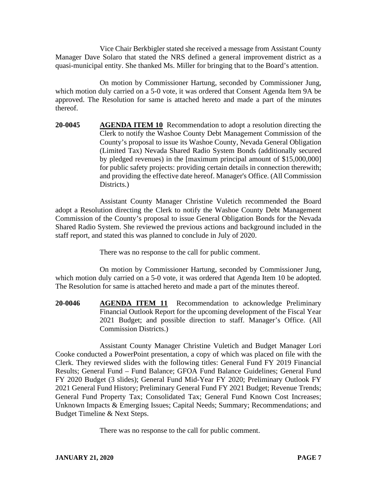Vice Chair Berkbigler stated she received a message from Assistant County Manager Dave Solaro that stated the NRS defined a general improvement district as a quasi-municipal entity. She thanked Ms. Miller for bringing that to the Board's attention.

On motion by Commissioner Hartung, seconded by Commissioner Jung, which motion duly carried on a 5-0 vote, it was ordered that Consent Agenda Item 9A be approved. The Resolution for same is attached hereto and made a part of the minutes thereof.

**20-0045 AGENDA ITEM 10** Recommendation to adopt a resolution directing the Clerk to notify the Washoe County Debt Management Commission of the County's proposal to issue its Washoe County, Nevada General Obligation (Limited Tax) Nevada Shared Radio System Bonds (additionally secured by pledged revenues) in the [maximum principal amount of \$15,000,000] for public safety projects: providing certain details in connection therewith; and providing the effective date hereof. Manager's Office. (All Commission Districts.)

Assistant County Manager Christine Vuletich recommended the Board adopt a Resolution directing the Clerk to notify the Washoe County Debt Management Commission of the County's proposal to issue General Obligation Bonds for the Nevada Shared Radio System. She reviewed the previous actions and background included in the staff report, and stated this was planned to conclude in July of 2020.

There was no response to the call for public comment.

On motion by Commissioner Hartung, seconded by Commissioner Jung, which motion duly carried on a 5-0 vote, it was ordered that Agenda Item 10 be adopted. The Resolution for same is attached hereto and made a part of the minutes thereof.

**20-0046 AGENDA ITEM 11** Recommendation to acknowledge Preliminary Financial Outlook Report for the upcoming development of the Fiscal Year 2021 Budget; and possible direction to staff. Manager's Office. (All Commission Districts.)

Assistant County Manager Christine Vuletich and Budget Manager Lori Cooke conducted a PowerPoint presentation, a copy of which was placed on file with the Clerk. They reviewed slides with the following titles: General Fund FY 2019 Financial Results; General Fund – Fund Balance; GFOA Fund Balance Guidelines; General Fund FY 2020 Budget (3 slides); General Fund Mid-Year FY 2020; Preliminary Outlook FY 2021 General Fund History; Preliminary General Fund FY 2021 Budget; Revenue Trends; General Fund Property Tax; Consolidated Tax; General Fund Known Cost Increases; Unknown Impacts & Emerging Issues; Capital Needs; Summary; Recommendations; and Budget Timeline & Next Steps.

There was no response to the call for public comment.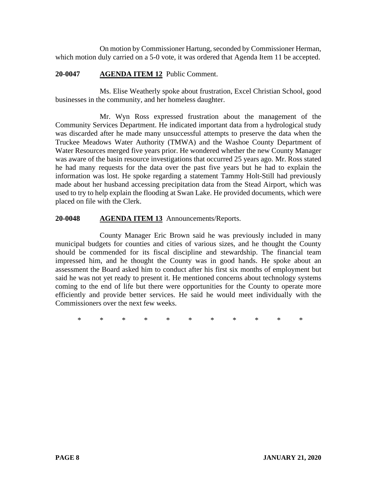On motion by Commissioner Hartung, seconded by Commissioner Herman, which motion duly carried on a 5-0 vote, it was ordered that Agenda Item 11 be accepted.

### **20-0047 AGENDA ITEM 12** Public Comment.

Ms. Elise Weatherly spoke about frustration, Excel Christian School, good businesses in the community, and her homeless daughter.

Mr. Wyn Ross expressed frustration about the management of the Community Services Department. He indicated important data from a hydrological study was discarded after he made many unsuccessful attempts to preserve the data when the Truckee Meadows Water Authority (TMWA) and the Washoe County Department of Water Resources merged five years prior. He wondered whether the new County Manager was aware of the basin resource investigations that occurred 25 years ago. Mr. Ross stated he had many requests for the data over the past five years but he had to explain the information was lost. He spoke regarding a statement Tammy Holt-Still had previously made about her husband accessing precipitation data from the Stead Airport, which was used to try to help explain the flooding at Swan Lake. He provided documents, which were placed on file with the Clerk.

## **20-0048 AGENDA ITEM 13** Announcements/Reports.

County Manager Eric Brown said he was previously included in many municipal budgets for counties and cities of various sizes, and he thought the County should be commended for its fiscal discipline and stewardship. The financial team impressed him, and he thought the County was in good hands. He spoke about an assessment the Board asked him to conduct after his first six months of employment but said he was not yet ready to present it. He mentioned concerns about technology systems coming to the end of life but there were opportunities for the County to operate more efficiently and provide better services. He said he would meet individually with the Commissioners over the next few weeks.

\* \* \* \* \* \* \* \* \* \* \*